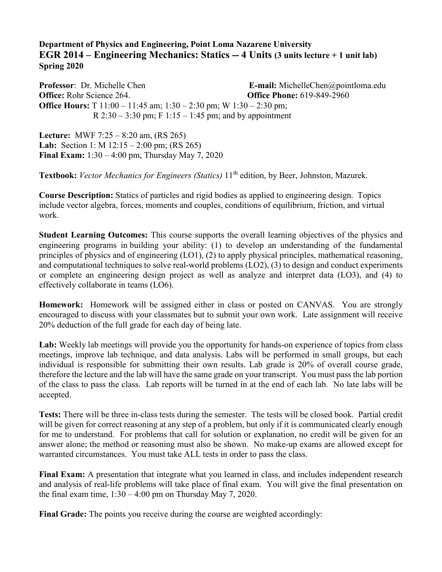## **Department of Physics and Engineering, Point Loma Nazarene University EGR 2014 – Engineering Mechanics: Statics -- 4 Units (3 units lecture + 1 unit lab) Spring 2020**

**Professor**: Dr. Michelle Chen **E-mail:** MichelleChen@pointloma.edu **Office:** Rohr Science 264. **Office Phone:** 619-849-2960 **Office Hours:** T 11:00 – 11:45 am; 1:30 – 2:30 pm; W 1:30 – 2:30 pm; R  $2:30 - 3:30$  pm; F  $1:15 - 1:45$  pm; and by appointment

**Lecture:** MWF 7:25 – 8:20 am, (RS 265) **Lab:** Section 1: M 12:15 – 2:00 pm; (RS 265) **Final Exam:** 1:30 – 4:00 pm, Thursday May 7, 2020

**Textbook:** *Vector Mechanics for Engineers (Statics)* 11<sup>th</sup> edition, by Beer, Johnston, Mazurek.

**Course Description:** Statics of particles and rigid bodies as applied to engineering design. Topics include vector algebra, forces, moments and couples, conditions of equilibrium, friction, and virtual work.

**Student Learning Outcomes:** This course supports the overall learning objectives of the physics and engineering programs in building your ability: (1) to develop an understanding of the fundamental principles of physics and of engineering (LO1), (2) to apply physical principles, mathematical reasoning, and computational techniques to solve real-world problems (LO2), (3) to design and conduct experiments or complete an engineering design project as well as analyze and interpret data (LO3), and (4) to effectively collaborate in teams (LO6).

**Homework:** Homework will be assigned either in class or posted on CANVAS. You are strongly encouraged to discuss with your classmates but to submit your own work. Late assignment will receive 20% deduction of the full grade for each day of being late.

Lab: Weekly lab meetings will provide you the opportunity for hands-on experience of topics from class meetings, improve lab technique, and data analysis. Labs will be performed in small groups, but each individual is responsible for submitting their own results. Lab grade is 20% of overall course grade, therefore the lecture and the lab will have the same grade on your transcript. You must pass the lab portion of the class to pass the class. Lab reports will be turned in at the end of each lab. No late labs will be accepted.

**Tests:** There will be three in-class tests during the semester. The tests will be closed book. Partial credit will be given for correct reasoning at any step of a problem, but only if it is communicated clearly enough for me to understand. For problems that call for solution or explanation, no credit will be given for an answer alone; the method or reasoning must also be shown. No make-up exams are allowed except for warranted circumstances. You must take ALL tests in order to pass the class.

**Final Exam:** A presentation that integrate what you learned in class, and includes independent research and analysis of real-life problems will take place of final exam. You will give the final presentation on the final exam time,  $1:30 - 4:00$  pm on Thursday May 7, 2020.

**Final Grade:** The points you receive during the course are weighted accordingly: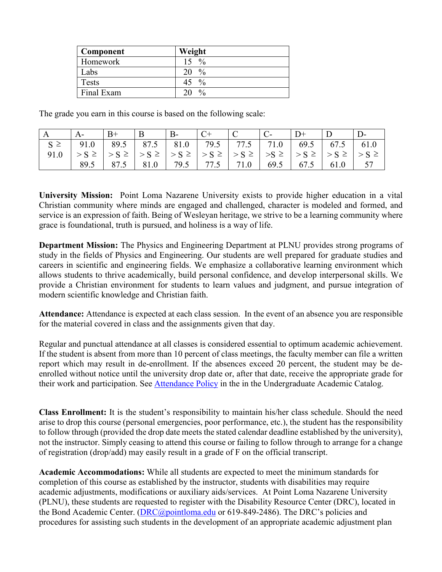| <b>Component</b> | Weight            |
|------------------|-------------------|
| Homework         | $15 \frac{9}{6}$  |
| Labs             | $^{0}/_{0}$<br>20 |
| <b>Tests</b>     | 45 $\%$           |
| Final Exam       | $\frac{0}{0}$     |

The grade you earn in this course is based on the following scale:

| A |                                                                               | $B+$ |  |                                                                   |  |  |
|---|-------------------------------------------------------------------------------|------|--|-------------------------------------------------------------------|--|--|
|   | $S \ge$   91.0   89.5   87.5   81.0   79.5   77.5   71.0   69.5   67.5   61.0 |      |  |                                                                   |  |  |
|   |                                                                               |      |  |                                                                   |  |  |
|   |                                                                               |      |  | 89.5   87.5   81.0   79.5   77.5   71.0   69.5   67.5   61.0   57 |  |  |

**University Mission:** Point Loma Nazarene University exists to provide higher education in a vital Christian community where minds are engaged and challenged, character is modeled and formed, and service is an expression of faith. Being of Wesleyan heritage, we strive to be a learning community where grace is foundational, truth is pursued, and holiness is a way of life.

**Department Mission:** The Physics and Engineering Department at PLNU provides strong programs of study in the fields of Physics and Engineering. Our students are well prepared for graduate studies and careers in scientific and engineering fields. We emphasize a collaborative learning environment which allows students to thrive academically, build personal confidence, and develop interpersonal skills. We provide a Christian environment for students to learn values and judgment, and pursue integration of modern scientific knowledge and Christian faith.

**Attendance:** Attendance is expected at each class session. In the event of an absence you are responsible for the material covered in class and the assignments given that day.

Regular and punctual attendance at all classes is considered essential to optimum academic achievement. If the student is absent from more than 10 percent of class meetings, the faculty member can file a written report which may result in de-enrollment. If the absences exceed 20 percent, the student may be deenrolled without notice until the university drop date or, after that date, receive the appropriate grade for their work and participation. See [Attendance Policy](https://catalog.pointloma.edu/content.php?catoid=28&navoid=1761#Class_Attendance) in the in the Undergraduate Academic Catalog.

**Class Enrollment:** It is the student's responsibility to maintain his/her class schedule. Should the need arise to drop this course (personal emergencies, poor performance, etc.), the student has the responsibility to follow through (provided the drop date meets the stated calendar deadline established by the university), not the instructor. Simply ceasing to attend this course or failing to follow through to arrange for a change of registration (drop/add) may easily result in a grade of F on the official transcript.

**Academic Accommodations:** While all students are expected to meet the minimum standards for completion of this course as established by the instructor, students with disabilities may require academic adjustments, modifications or auxiliary aids/services. At Point Loma Nazarene University (PLNU), these students are requested to register with the Disability Resource Center (DRC), located in the Bond Academic Center. [\(DRC@pointloma.edu](mailto:DRC@pointloma.edu) or 619-849-2486). The DRC's policies and procedures for assisting such students in the development of an appropriate academic adjustment plan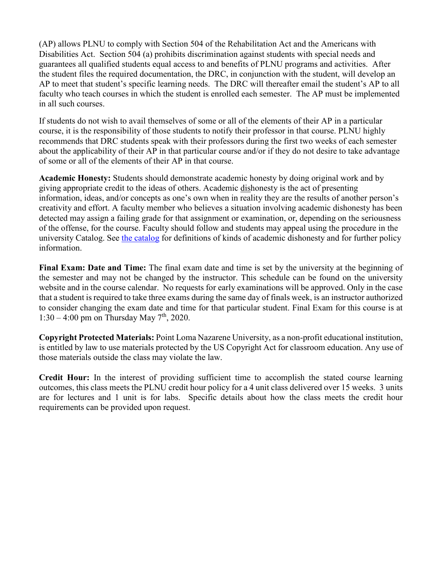(AP) allows PLNU to comply with Section 504 of the Rehabilitation Act and the Americans with Disabilities Act. Section 504 (a) prohibits discrimination against students with special needs and guarantees all qualified students equal access to and benefits of PLNU programs and activities. After the student files the required documentation, the DRC, in conjunction with the student, will develop an AP to meet that student's specific learning needs. The DRC will thereafter email the student's AP to all faculty who teach courses in which the student is enrolled each semester. The AP must be implemented in all such courses.

If students do not wish to avail themselves of some or all of the elements of their AP in a particular course, it is the responsibility of those students to notify their professor in that course. PLNU highly recommends that DRC students speak with their professors during the first two weeks of each semester about the applicability of their AP in that particular course and/or if they do not desire to take advantage of some or all of the elements of their AP in that course.

**Academic Honesty:** Students should demonstrate academic honesty by doing original work and by giving appropriate credit to the ideas of others. Academic dishonesty is the act of presenting information, ideas, and/or concepts as one's own when in reality they are the results of another person's creativity and effort. A faculty member who believes a situation involving academic dishonesty has been detected may assign a failing grade for that assignment or examination, or, depending on the seriousness of the offense, for the course. Faculty should follow and students may appeal using the procedure in the university Catalog. See [the catalog](https://catalog.pointloma.edu/content.php?catoid=28&navoid=1761#Academic_Honesty) for definitions of kinds of academic dishonesty and for further policy information.

**Final Exam: Date and Time:** The final exam date and time is set by the university at the beginning of the semester and may not be changed by the instructor. This schedule can be found on the university website and in the course calendar. No requests for early examinations will be approved. Only in the case that a student is required to take three exams during the same day of finals week, is an instructor authorized to consider changing the exam date and time for that particular student. Final Exam for this course is at 1:30 – 4:00 pm on Thursday May  $7<sup>th</sup>$ , 2020.

**Copyright Protected Materials:** Point Loma Nazarene University, as a non-profit educational institution, is entitled by law to use materials protected by the US Copyright Act for classroom education. Any use of those materials outside the class may violate the law.

**Credit Hour:** In the interest of providing sufficient time to accomplish the stated course learning outcomes, this class meets the PLNU credit hour policy for a 4 unit class delivered over 15 weeks. 3 units are for lectures and 1 unit is for labs. Specific details about how the class meets the credit hour requirements can be provided upon request.